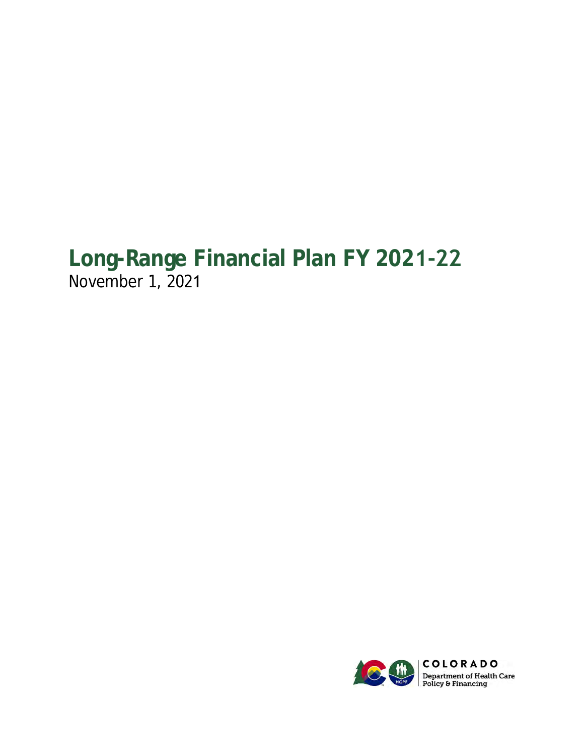# **Long-Range Financial Plan FY 2021-22** November 1, 2021

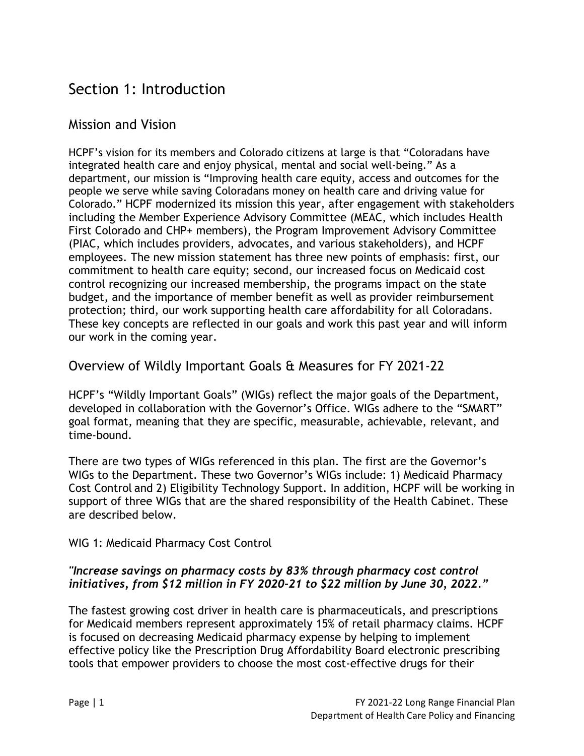## Section 1: Introduction

## Mission and Vision

HCPF's vision for its members and Colorado citizens at large is that "Coloradans have integrated health care and enjoy physical, mental and social well-being." As a department, our mission is "Improving health care equity, access and outcomes for the people we serve while saving Coloradans money on health care and driving value for Colorado." HCPF modernized its mission this year, after engagement with stakeholders including the Member Experience Advisory Committee (MEAC, which includes Health First Colorado and CHP+ members), the Program Improvement Advisory Committee (PIAC, which includes providers, advocates, and various stakeholders), and HCPF employees. The new mission statement has three new points of emphasis: first, our commitment to health care equity; second, our increased focus on Medicaid cost control recognizing our increased membership, the programs impact on the state budget, and the importance of member benefit as well as provider reimbursement protection; third, our work supporting health care affordability for all Coloradans. These key concepts are reflected in our goals and work this past year and will inform our work in the coming year.

## Overview of Wildly Important Goals & Measures for FY 2021-22

HCPF's "Wildly Important Goals" (WIGs) reflect the major goals of the Department, developed in collaboration with the Governor's Office. WIGs adhere to the "SMART" goal format, meaning that they are specific, measurable, achievable, relevant, and time-bound.

There are two types of WIGs referenced in this plan. The first are the Governor's WIGs to the Department. These two Governor's WIGs include: 1) Medicaid Pharmacy Cost Control and 2) Eligibility Technology Support. In addition, HCPF will be working in support of three WIGs that are the shared responsibility of the Health Cabinet. These are described below.

#### WIG 1: Medicaid Pharmacy Cost Control

#### *"Increase savings on pharmacy costs by 83% through pharmacy cost control initiatives, from \$12 million in FY 2020-21 to \$22 million by June 30, 2022."*

The fastest growing cost driver in health care is pharmaceuticals, and prescriptions for Medicaid members represent approximately 15% of retail pharmacy claims. HCPF is focused on decreasing Medicaid pharmacy expense by helping to implement effective policy like the Prescription Drug Affordability Board electronic prescribing tools that empower providers to choose the most cost-effective drugs for their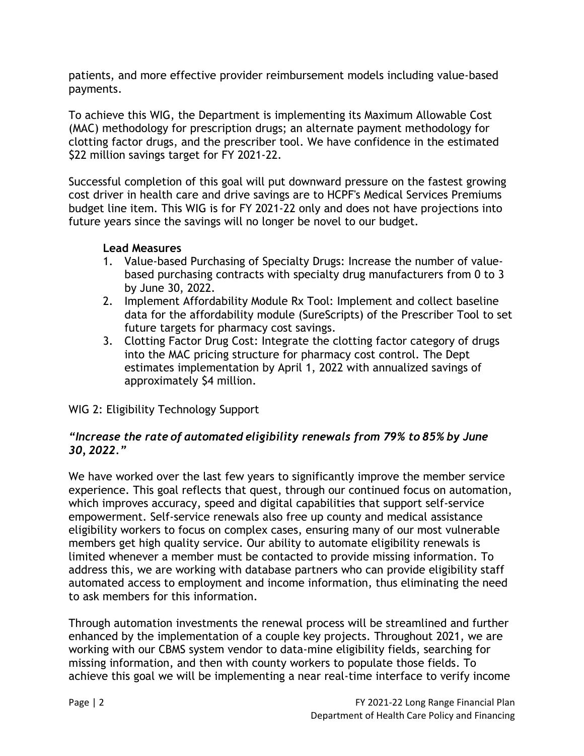patients, and more effective provider reimbursement models including value-based payments.

To achieve this WIG, the Department is implementing its Maximum Allowable Cost (MAC) methodology for prescription drugs; an alternate payment methodology for clotting factor drugs, and the prescriber tool. We have confidence in the estimated \$22 million savings target for FY 2021-22.

Successful completion of this goal will put downward pressure on the fastest growing cost driver in health care and drive savings are to HCPF's Medical Services Premiums budget line item. This WIG is for FY 2021-22 only and does not have projections into future years since the savings will no longer be novel to our budget.

#### **Lead Measures**

- 1. Value-based Purchasing of Specialty Drugs: Increase the number of valuebased purchasing contracts with specialty drug manufacturers from 0 to 3 by June 30, 2022.
- 2. Implement Affordability Module Rx Tool: Implement and collect baseline data for the affordability module (SureScripts) of the Prescriber Tool to set future targets for pharmacy cost savings.
- 3. Clotting Factor Drug Cost: Integrate the clotting factor category of drugs into the MAC pricing structure for pharmacy cost control. The Dept estimates implementation by April 1, 2022 with annualized savings of approximately \$4 million.

WIG 2: Eligibility Technology Support

#### *"Increase the rate of automated eligibility renewals from 79% to 85% by June 30, 2022."*

We have worked over the last few years to significantly improve the member service experience. This goal reflects that quest, through our continued focus on automation, which improves accuracy, speed and digital capabilities that support self-service empowerment. Self-service renewals also free up county and medical assistance eligibility workers to focus on complex cases, ensuring many of our most vulnerable members get high quality service. Our ability to automate eligibility renewals is limited whenever a member must be contacted to provide missing information. To address this, we are working with database partners who can provide eligibility staff automated access to employment and income information, thus eliminating the need to ask members for this information.

Through automation investments the renewal process will be streamlined and further enhanced by the implementation of a couple key projects. Throughout 2021, we are working with our CBMS system vendor to data-mine eligibility fields, searching for missing information, and then with county workers to populate those fields. To achieve this goal we will be implementing a near real-time interface to verify income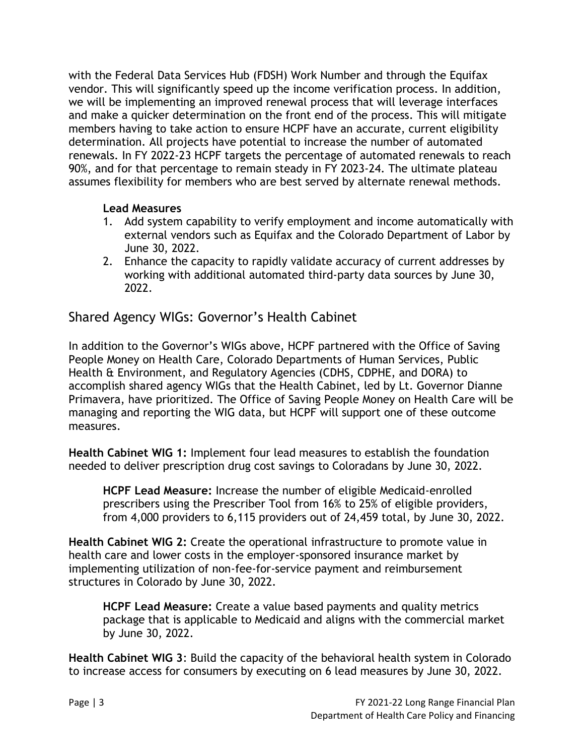with the Federal Data Services Hub (FDSH) Work Number and through the Equifax vendor. This will significantly speed up the income verification process. In addition, we will be implementing an improved renewal process that will leverage interfaces and make a quicker determination on the front end of the process. This will mitigate members having to take action to ensure HCPF have an accurate, current eligibility determination. All projects have potential to increase the number of automated renewals. In FY 2022-23 HCPF targets the percentage of automated renewals to reach 90%, and for that percentage to remain steady in FY 2023-24. The ultimate plateau assumes flexibility for members who are best served by alternate renewal methods.

#### **Lead Measures**

- 1. Add system capability to verify employment and income automatically with external vendors such as Equifax and the Colorado Department of Labor by June 30, 2022.
- 2. Enhance the capacity to rapidly validate accuracy of current addresses by working with additional automated third-party data sources by June 30, 2022.

Shared Agency WIGs: Governor's Health Cabinet

In addition to the Governor's WIGs above, HCPF partnered with the Office of Saving People Money on Health Care, Colorado Departments of Human Services, Public Health & Environment, and Regulatory Agencies (CDHS, CDPHE, and DORA) to accomplish shared agency WIGs that the Health Cabinet, led by Lt. Governor Dianne Primavera, have prioritized. The Office of Saving People Money on Health Care will be managing and reporting the WIG data, but HCPF will support one of these outcome measures.

**Health Cabinet WIG 1:** Implement four lead measures to establish the foundation needed to deliver prescription drug cost savings to Coloradans by June 30, 2022.

**HCPF Lead Measure:** Increase the number of eligible Medicaid-enrolled prescribers using the Prescriber Tool from 16% to 25% of eligible providers, from 4,000 providers to 6,115 providers out of 24,459 total, by June 30, 2022.

**Health Cabinet WIG 2:** Create the operational infrastructure to promote value in health care and lower costs in the employer-sponsored insurance market by implementing utilization of non-fee-for-service payment and reimbursement structures in Colorado by June 30, 2022.

**HCPF Lead Measure:** Create a value based payments and quality metrics package that is applicable to Medicaid and aligns with the commercial market by June 30, 2022.

**Health Cabinet WIG 3**: Build the capacity of the behavioral health system in Colorado to increase access for consumers by executing on 6 lead measures by June 30, 2022.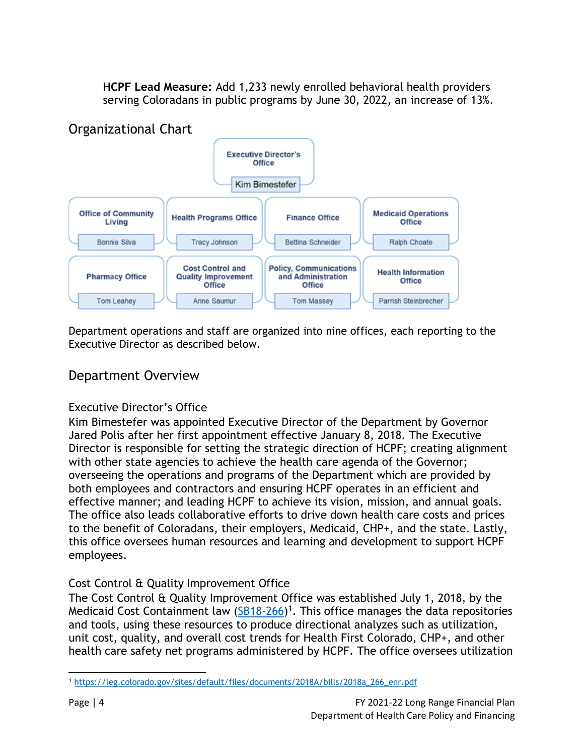**HCPF Lead Measure:** Add 1,233 newly enrolled behavioral health providers serving Coloradans in public programs by June 30, 2022, an increase of 13%.



Department operations and staff are organized into nine offices, each reporting to the Executive Director as described below.

## Department Overview

#### Executive Director's Office

Kim Bimestefer was appointed Executive Director of the Department by Governor Jared Polis after her first appointment effective January 8, 2018. The Executive Director is responsible for setting the strategic direction of HCPF; creating alignment with other state agencies to achieve the health care agenda of the Governor; overseeing the operations and programs of the Department which are provided by both employees and contractors and ensuring HCPF operates in an efficient and effective manner; and leading HCPF to achieve its vision, mission, and annual goals. The office also leads collaborative efforts to drive down health care costs and prices to the benefit of Coloradans, their employers, Medicaid, CHP+, and the state. Lastly, this office oversees human resources and learning and development to support HCPF employees.

## Cost Control & Quality Improvement Office

The Cost Control & Quality Improvement Office was established July 1, 2018, by the Medicaid Cost Containment law [\(SB18-266\)](https://leg.colorado.gov/sites/default/files/documents/2018A/bills/2018a_266_enr.pdf)<sup>1</sup>. This office manages the data repositories and tools, using these resources to produce directional analyzes such as utilization, unit cost, quality, and overall cost trends for Health First Colorado, CHP+, and other health care safety net programs administered by HCPF. The office oversees utilization

<sup>1</sup> [https://leg.colorado.gov/sites/default/files/documents/2018A/bills/2018a\\_266\\_enr.pdf](https://leg.colorado.gov/sites/default/files/documents/2018A/bills/2018a_266_enr.pdf)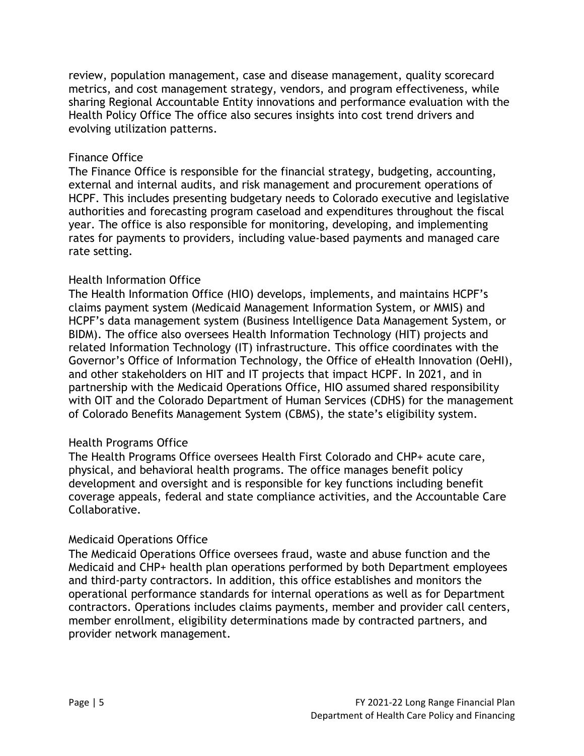review, population management, case and disease management, quality scorecard metrics, and cost management strategy, vendors, and program effectiveness, while sharing Regional Accountable Entity innovations and performance evaluation with the Health Policy Office The office also secures insights into cost trend drivers and evolving utilization patterns.

#### Finance Office

The Finance Office is responsible for the financial strategy, budgeting, accounting, external and internal audits, and risk management and procurement operations of HCPF. This includes presenting budgetary needs to Colorado executive and legislative authorities and forecasting program caseload and expenditures throughout the fiscal year. The office is also responsible for monitoring, developing, and implementing rates for payments to providers, including value-based payments and managed care rate setting.

#### Health Information Office

The Health Information Office (HIO) develops, implements, and maintains HCPF's claims payment system (Medicaid Management Information System, or MMIS) and HCPF's data management system (Business Intelligence Data Management System, or BIDM). The office also oversees Health Information Technology (HIT) projects and related Information Technology (IT) infrastructure. This office coordinates with the Governor's Office of Information Technology, the Office of eHealth Innovation (OeHI), and other stakeholders on HIT and IT projects that impact HCPF. In 2021, and in partnership with the Medicaid Operations Office, HIO assumed shared responsibility with OIT and the Colorado Department of Human Services (CDHS) for the management of Colorado Benefits Management System (CBMS), the state's eligibility system.

#### Health Programs Office

The Health Programs Office oversees Health First Colorado and CHP+ acute care, physical, and behavioral health programs. The office manages benefit policy development and oversight and is responsible for key functions including benefit coverage appeals, federal and state compliance activities, and the Accountable Care Collaborative.

#### Medicaid Operations Office

The Medicaid Operations Office oversees fraud, waste and abuse function and the Medicaid and CHP+ health plan operations performed by both Department employees and third-party contractors. In addition, this office establishes and monitors the operational performance standards for internal operations as well as for Department contractors. Operations includes claims payments, member and provider call centers, member enrollment, eligibility determinations made by contracted partners, and provider network management.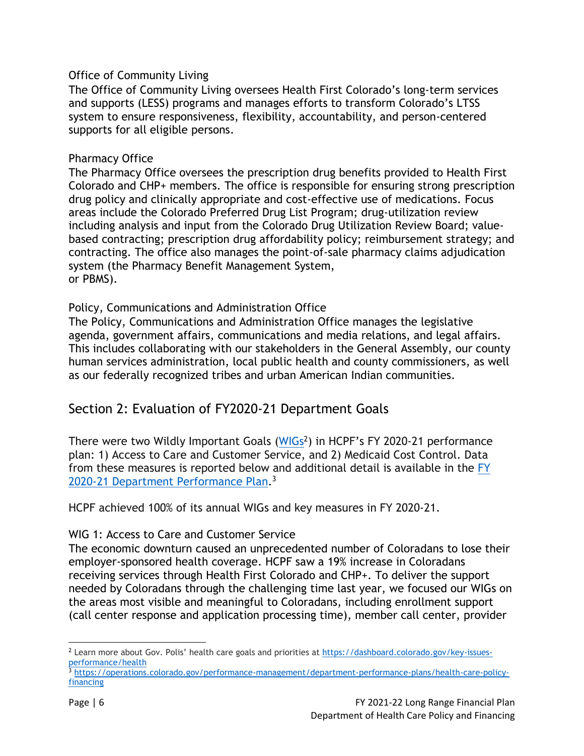#### Office of Community Living

The Office of Community Living oversees Health First Colorado's long-term services and supports (LESS) programs and manages efforts to transform Colorado's LTSS system to ensure responsiveness, flexibility, accountability, and person-centered supports for all eligible persons.

#### Pharmacy Office

The Pharmacy Office oversees the prescription drug benefits provided to Health First Colorado and CHP+ members. The office is responsible for ensuring strong prescription drug policy and clinically appropriate and cost-effective use of medications. Focus areas include the Colorado Preferred Drug List Program; drug-utilization review including analysis and input from the Colorado Drug Utilization Review Board; valuebased contracting; prescription drug affordability policy; reimbursement strategy; and contracting. The office also manages the point-of-sale pharmacy claims adjudication system (the Pharmacy Benefit Management System, or PBMS).

#### Policy, Communications and Administration Office

The Policy, Communications and Administration Office manages the legislative agenda, government affairs, communications and media relations, and legal affairs. This includes collaborating with our stakeholders in the General Assembly, our county human services administration, local public health and county commissioners, as well as our federally recognized tribes and urban American Indian communities.

## Section 2: Evaluation of FY2020-21 Department Goals

There were two Wildly Important Goals [\(WIGs](https://dashboard.colorado.gov/key-issues-performance/health)<sup>2</sup>) in HCPF's FY 2020-21 performance plan: 1) Access to Care and Customer Service, and 2) Medicaid Cost Control. Data from these measures is reported below and additional detail is available in the [FY](https://operations.colorado.gov/performance-management/department-performance-plans/health-care-policy-financing) 2020-21 Department [Performance](https://operations.colorado.gov/performance-management/department-performance-plans/health-care-policy-financing) Plan.<sup>3</sup>

HCPF achieved 100% of its annual WIGs and key measures in FY 2020-21.

#### WIG 1: Access to Care and Customer Service

The economic downturn caused an unprecedented number of Coloradans to lose their employer-sponsored health coverage. HCPF saw a 19% increase in Coloradans receiving services through Health First Colorado and CHP+. To deliver the support needed by Coloradans through the challenging time last year, we focused our WIGs on the areas most visible and meaningful to Coloradans, including enrollment support (call center response and application processing time), member call center, provider

<sup>&</sup>lt;sup>2</sup> Learn more about Gov. Polis' health care goals and priorities at [https://dashboard.colorado.gov/key-issues](https://dashboard.colorado.gov/key-issues-performance/health)[performance/health](https://dashboard.colorado.gov/key-issues-performance/health)

<sup>3</sup> [https://operations.colorado.gov/performance-management/department-performance-plans/health-care-policy](https://operations.colorado.gov/performance-management/department-performance-plans/health-care-policy-financing)[financing](https://operations.colorado.gov/performance-management/department-performance-plans/health-care-policy-financing)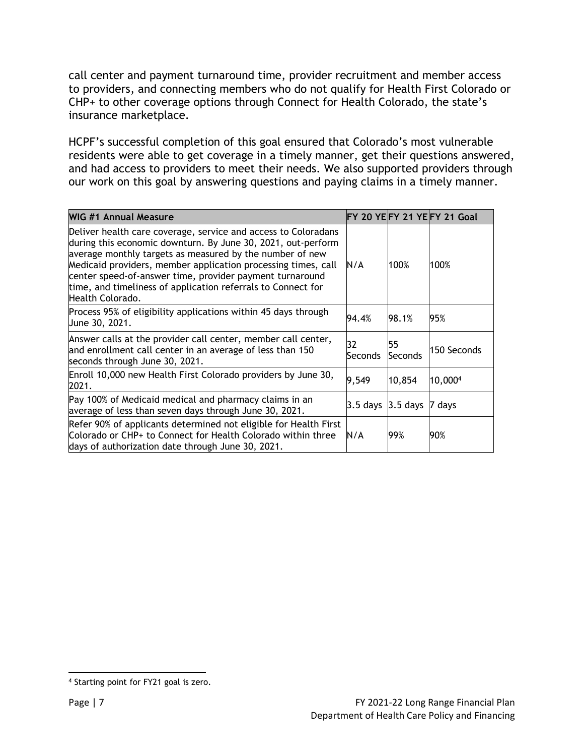call center and payment turnaround time, provider recruitment and member access to providers, and connecting members who do not qualify for Health First Colorado or CHP+ to other coverage options through Connect for Health Colorado, the state's insurance marketplace.

HCPF's successful completion of this goal ensured that Colorado's most vulnerable residents were able to get coverage in a timely manner, get their questions answered, and had access to providers to meet their needs. We also supported providers through our work on this goal by answering questions and paying claims in a timely manner.

| WIG #1 Annual Measure                                                                                                                                                                                                                                                                                                                                                                                       |                        |               | FY 20 YEFY 21 YEFY 21 Goal |
|-------------------------------------------------------------------------------------------------------------------------------------------------------------------------------------------------------------------------------------------------------------------------------------------------------------------------------------------------------------------------------------------------------------|------------------------|---------------|----------------------------|
| Deliver health care coverage, service and access to Coloradans<br>during this economic downturn. By June 30, 2021, out-perform<br>average monthly targets as measured by the number of new<br>Medicaid providers, member application processing times, call<br>center speed-of-answer time, provider payment turnaround<br>time, and timeliness of application referrals to Connect for<br>Health Colorado. | N/A                    | 100%          | 100%                       |
| Process 95% of eligibility applications within 45 days through<br>June 30, 2021.                                                                                                                                                                                                                                                                                                                            | 94.4%                  | 98.1%         | 95%                        |
| Answer calls at the provider call center, member call center,<br>and enrollment call center in an average of less than 150<br>seconds through June 30, 2021.                                                                                                                                                                                                                                                | 32<br>Seconds          | 55<br>Seconds | 150 Seconds                |
| Enroll 10,000 new Health First Colorado providers by June 30,<br>2021.                                                                                                                                                                                                                                                                                                                                      | 9,549                  | 10,854        | 10,0004                    |
| Pay 100% of Medicaid medical and pharmacy claims in an<br>average of less than seven days through June 30, 2021.                                                                                                                                                                                                                                                                                            | $3.5$ days $ 3.5$ days |               | 7 days                     |
| Refer 90% of applicants determined not eligible for Health First<br>Colorado or CHP+ to Connect for Health Colorado within three<br>days of authorization date through June 30, 2021.                                                                                                                                                                                                                       | N/A                    | 99%           | 90%                        |

<sup>4</sup> Starting point for FY21 goal is zero.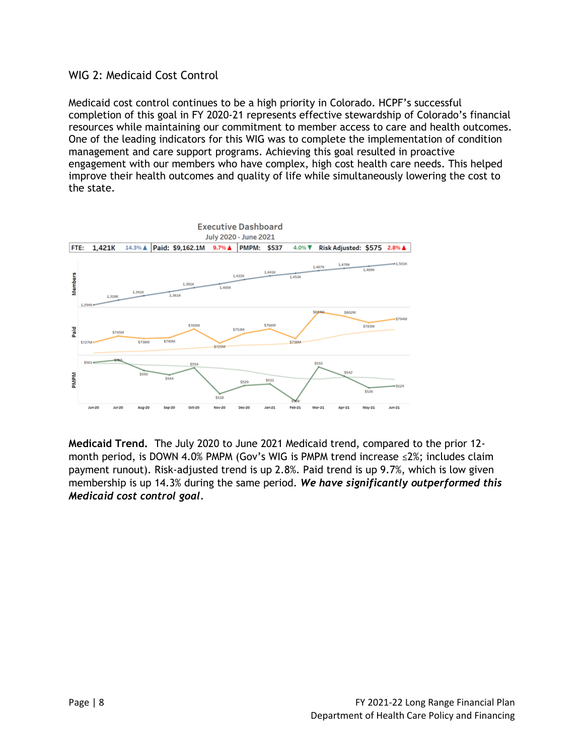#### WIG 2: Medicaid Cost Control

Medicaid cost control continues to be a high priority in Colorado. HCPF's successful completion of this goal in FY 2020-21 represents effective stewardship of Colorado's financial resources while maintaining our commitment to member access to care and health outcomes. One of the leading indicators for this WIG was to complete the implementation of condition management and care support programs. Achieving this goal resulted in proactive engagement with our members who have complex, high cost health care needs. This helped improve their health outcomes and quality of life while simultaneously lowering the cost to the state.



**Medicaid Trend.** The July 2020 to June 2021 Medicaid trend, compared to the prior 12 month period, is DOWN 4.0% PMPM (Gov's WIG is PMPM trend increase ≤2%; includes claim payment runout). Risk-adjusted trend is up 2.8%. Paid trend is up 9.7%, which is low given membership is up 14.3% during the same period. *We have significantly outperformed this Medicaid cost control goal.*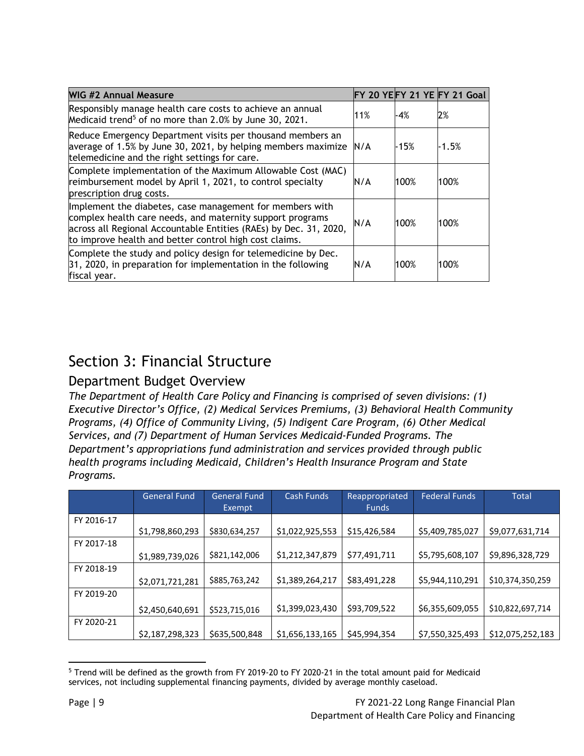| <b>WIG #2 Annual Measure</b>                                                                                                                                                                                                                         |     |        | FY 20 YEFY 21 YE FY 21 Goal |
|------------------------------------------------------------------------------------------------------------------------------------------------------------------------------------------------------------------------------------------------------|-----|--------|-----------------------------|
| Responsibly manage health care costs to achieve an annual<br>Medicaid trend <sup>5</sup> of no more than 2.0% by June 30, 2021.                                                                                                                      | 11% | -4%    | 2%                          |
| Reduce Emergency Department visits per thousand members an<br>average of 1.5% by June 30, 2021, by helping members maximize<br>telemedicine and the right settings for care.                                                                         | N/A | $-15%$ | $-1.5%$                     |
| Complete implementation of the Maximum Allowable Cost (MAC)<br>reimbursement model by April 1, 2021, to control specialty<br>prescription drug costs.                                                                                                | N/A | 100%   | 100%                        |
| Implement the diabetes, case management for members with<br>complex health care needs, and maternity support programs<br>across all Regional Accountable Entities (RAEs) by Dec. 31, 2020,<br>to improve health and better control high cost claims. | N/A | 100%   | 100%                        |
| Complete the study and policy design for telemedicine by Dec.<br>$31, 2020$ , in preparation for implementation in the following<br>fiscal year.                                                                                                     | N/A | 100%   | 100%                        |

## Section 3: Financial Structure

## Department Budget Overview

*The Department of Health Care Policy and Financing is comprised of seven divisions: (1) Executive Director's Office, (2) Medical Services Premiums, (3) Behavioral Health Community Programs, (4) Office of Community Living, (5) Indigent Care Program, (6) Other Medical Services, and (7) Department of Human Services Medicaid-Funded Programs. The Department's appropriations fund administration and services provided through public health programs including Medicaid, Children's Health Insurance Program and State Programs.* 

|            | <b>General Fund</b> | <b>General Fund</b> | Cash Funds      | Reappropriated | <b>Federal Funds</b> | Total            |
|------------|---------------------|---------------------|-----------------|----------------|----------------------|------------------|
|            |                     | Exempt              |                 | <b>Funds</b>   |                      |                  |
| FY 2016-17 |                     |                     |                 |                |                      |                  |
|            | \$1,798,860,293     | \$830,634,257       | \$1,022,925,553 | \$15,426,584   | \$5,409,785,027      | \$9,077,631,714  |
| FY 2017-18 |                     |                     |                 |                |                      |                  |
|            | \$1,989,739,026     | \$821,142,006       | \$1,212,347,879 | \$77,491,711   | \$5,795,608,107      | \$9,896,328,729  |
| FY 2018-19 |                     |                     |                 |                |                      |                  |
|            | \$2,071,721,281     | \$885,763,242       | \$1,389,264,217 | \$83,491,228   | \$5,944,110,291      | \$10,374,350,259 |
| FY 2019-20 |                     |                     |                 |                |                      |                  |
|            | \$2,450,640,691     | \$523,715,016       | \$1,399,023,430 | \$93,709,522   | \$6,355,609,055      | \$10,822,697,714 |
| FY 2020-21 |                     |                     |                 |                |                      |                  |
|            | \$2,187,298,323     | \$635,500,848       | \$1,656,133,165 | \$45,994,354   | \$7,550,325,493      | \$12,075,252,183 |

<sup>5</sup> Trend will be defined as the growth from FY 2019-20 to FY 2020-21 in the total amount paid for Medicaid services, not including supplemental financing payments, divided by average monthly caseload.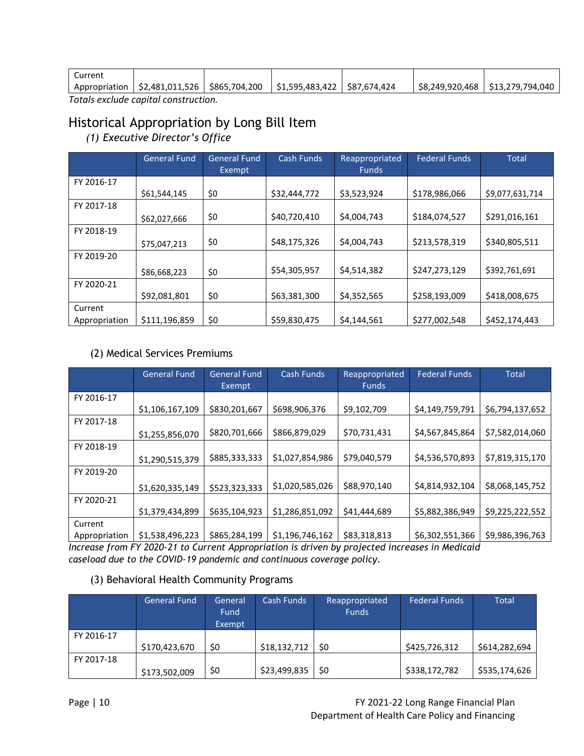| Current |                                                 |                                |  |                                  |
|---------|-------------------------------------------------|--------------------------------|--|----------------------------------|
|         | Appropriation   \$2,481,011,526   \$865,704,200 | \$1.595.483.422   \$87.674.424 |  | S8.249.920.468 S13.279.794.040 S |
|         | . Tatala analnala aanaltal aanattunatian.       |                                |  |                                  |

*Totals exclude capital construction.*

## Historical Appropriation by Long Bill Item

*(1) Executive Director's Office*

|               | General Fund  | General Fund<br>Exempt | <b>Cash Funds</b> | Reappropriated<br><b>Funds</b> | <b>Federal Funds</b> | <b>Total</b>    |
|---------------|---------------|------------------------|-------------------|--------------------------------|----------------------|-----------------|
| FY 2016-17    |               |                        |                   |                                |                      |                 |
|               | \$61,544,145  | \$0                    | \$32,444,772      | \$3,523,924                    | \$178,986,066        | \$9,077,631,714 |
| FY 2017-18    |               |                        |                   |                                |                      |                 |
|               | \$62,027,666  | \$0                    | \$40,720,410      | \$4,004,743                    | \$184,074,527        | \$291,016,161   |
| FY 2018-19    |               |                        |                   |                                |                      |                 |
|               | \$75,047,213  | \$0                    | \$48,175,326      | \$4,004,743                    | \$213,578,319        | \$340,805,511   |
| FY 2019-20    |               |                        |                   |                                |                      |                 |
|               | \$86,668,223  | \$0                    | \$54,305,957      | \$4,514,382                    | \$247,273,129        | \$392,761,691   |
| FY 2020-21    |               |                        |                   |                                |                      |                 |
|               | \$92,081,801  | \$0                    | \$63,381,300      | \$4,352,565                    | \$258,193,009        | \$418,008,675   |
| Current       |               |                        |                   |                                |                      |                 |
| Appropriation | \$111,196,859 | \$0                    | \$59,830,475      | \$4,144,561                    | \$277,002,548        | \$452,174,443   |

#### (2) Medical Services Premiums

|               | <b>General Fund</b> | <b>General Fund</b> | Cash Funds      | Reappropriated | <b>Federal Funds</b> | <b>Total</b>    |
|---------------|---------------------|---------------------|-----------------|----------------|----------------------|-----------------|
|               |                     | Exempt              |                 | <b>Funds</b>   |                      |                 |
| FY 2016-17    |                     |                     |                 |                |                      |                 |
|               | \$1,106,167,109     | \$830,201,667       | \$698,906,376   | \$9,102,709    | \$4,149,759,791      | \$6,794,137,652 |
| FY 2017-18    |                     |                     |                 |                |                      |                 |
|               | \$1,255,856,070     | \$820,701,666       | \$866,879,029   | \$70,731,431   | \$4,567,845,864      | \$7,582,014,060 |
| FY 2018-19    |                     |                     |                 |                |                      |                 |
|               | \$1,290,515,379     | \$885,333,333       | \$1,027,854,986 | \$79,040,579   | \$4,536,570,893      | \$7,819,315,170 |
| FY 2019-20    |                     |                     |                 |                |                      |                 |
|               | \$1,620,335,149     | \$523,323,333       | \$1,020,585,026 | \$88,970,140   | \$4,814,932,104      | \$8,068,145,752 |
| FY 2020-21    |                     |                     |                 |                |                      |                 |
|               | \$1,379,434,899     | \$635,104,923       | \$1,286,851,092 | \$41,444,689   | \$5,882,386,949      | \$9,225,222,552 |
| Current       |                     |                     |                 |                |                      |                 |
| Appropriation | \$1,538,496,223     | \$865,284,199       | \$1,196,746,162 | \$83,318,813   | \$6,302,551,366      | \$9,986,396,763 |

*Increase from FY 2020-21 to Current Appropriation is driven by projected increases in Medicaid caseload due to the COVID-19 pandemic and continuous coverage policy.*

#### (3) Behavioral Health Community Programs

|            | <b>General Fund</b> | General<br>Fund<br>Exempt | Cash Funds   | Reappropriated<br><b>Funds</b> | <b>Federal Funds</b> | Total         |
|------------|---------------------|---------------------------|--------------|--------------------------------|----------------------|---------------|
| FY 2016-17 |                     |                           |              |                                |                      |               |
|            | \$170,423,670       | \$0                       | \$18,132,712 | <b>SO</b>                      | \$425,726,312        | \$614,282,694 |
| FY 2017-18 |                     |                           |              |                                |                      |               |
|            | \$173,502,009       | \$0                       | \$23,499,835 | \$0                            | \$338,172,782        | \$535,174,626 |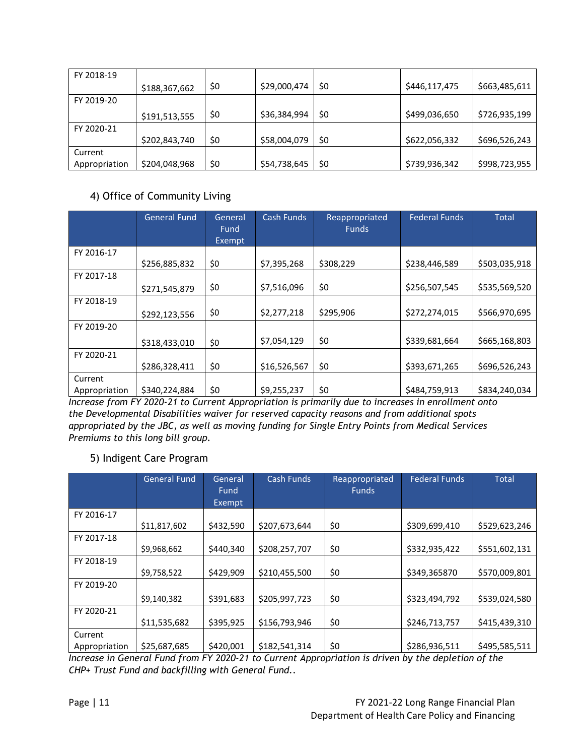| FY 2018-19    |               |     |              |     |               |               |
|---------------|---------------|-----|--------------|-----|---------------|---------------|
|               | \$188,367,662 | \$0 | \$29,000,474 | \$0 | \$446,117,475 | \$663,485,611 |
| FY 2019-20    |               |     |              |     |               |               |
|               | \$191,513,555 | \$0 | \$36,384,994 | \$0 | \$499,036,650 | \$726,935,199 |
| FY 2020-21    |               |     |              |     |               |               |
|               | \$202,843,740 | \$0 | \$58,004,079 | \$0 | \$622,056,332 | \$696,526,243 |
| Current       |               |     |              |     |               |               |
| Appropriation | \$204,048,968 | \$0 | \$54,738,645 | \$0 | \$739,936,342 | \$998,723,955 |

#### 4) Office of Community Living

|               | <b>General Fund</b> | General<br>Fund<br>Exempt | <b>Cash Funds</b> | Reappropriated<br><b>Funds</b> | <b>Federal Funds</b> | <b>Total</b>  |
|---------------|---------------------|---------------------------|-------------------|--------------------------------|----------------------|---------------|
| FY 2016-17    |                     |                           |                   |                                |                      |               |
|               | \$256,885,832       | \$0                       | \$7,395,268       | \$308,229                      | \$238,446,589        | \$503,035,918 |
| FY 2017-18    |                     |                           |                   |                                |                      |               |
|               | \$271,545,879       | \$0                       | \$7,516,096       | \$0                            | \$256,507,545        | \$535,569,520 |
| FY 2018-19    |                     |                           |                   |                                |                      |               |
|               | \$292,123,556       | \$0                       | \$2,277,218       | \$295,906                      | \$272,274,015        | \$566,970,695 |
| FY 2019-20    |                     |                           |                   |                                |                      |               |
|               | \$318,433,010       | \$0                       | \$7,054,129       | \$0                            | \$339,681,664        | \$665,168,803 |
| FY 2020-21    |                     |                           |                   |                                |                      |               |
|               | \$286,328,411       | \$0                       | \$16,526,567      | \$0                            | \$393,671,265        | \$696,526,243 |
| Current       |                     |                           |                   |                                |                      |               |
| Appropriation | \$340,224,884       | \$0                       | \$9,255,237       | \$0                            | \$484,759,913        | \$834,240,034 |

*Increase from FY 2020-21 to Current Appropriation is primarily due to increases in enrollment onto the Developmental Disabilities waiver for reserved capacity reasons and from additional spots appropriated by the JBC, as well as moving funding for Single Entry Points from Medical Services Premiums to this long bill group.*

#### 5) Indigent Care Program

|               | <b>General Fund</b> | General<br>Fund<br>Exempt | Cash Funds    | Reappropriated<br><b>Funds</b> | <b>Federal Funds</b> | <b>Total</b>  |
|---------------|---------------------|---------------------------|---------------|--------------------------------|----------------------|---------------|
| FY 2016-17    |                     |                           |               |                                |                      |               |
|               | \$11,817,602        | \$432,590                 | \$207,673,644 | \$0                            | \$309,699,410        | \$529,623,246 |
| FY 2017-18    |                     |                           |               |                                |                      |               |
|               | \$9,968,662         | \$440,340                 | \$208,257,707 | \$0                            | \$332,935,422        | \$551,602,131 |
| FY 2018-19    |                     |                           |               |                                |                      |               |
|               | \$9,758,522         | \$429,909                 | \$210,455,500 | \$0                            | \$349,365870         | \$570,009,801 |
| FY 2019-20    |                     |                           |               |                                |                      |               |
|               | \$9,140,382         | \$391,683                 | \$205,997,723 | \$0                            | \$323,494,792        | \$539,024,580 |
| FY 2020-21    |                     |                           |               |                                |                      |               |
|               | \$11,535,682        | \$395,925                 | \$156,793,946 | \$0                            | \$246,713,757        | \$415,439,310 |
| Current       |                     |                           |               |                                |                      |               |
| Appropriation | \$25,687,685        | \$420,001                 | \$182,541,314 | \$0                            | \$286,936,511        | \$495,585,511 |

*Increase in General Fund from FY 2020-21 to Current Appropriation is driven by the depletion of the CHP+ Trust Fund and backfilling with General Fund..*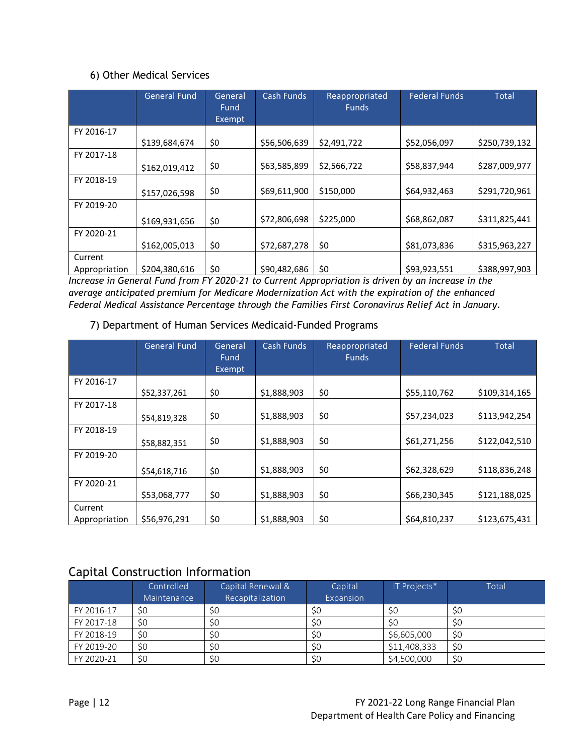#### 6) Other Medical Services

|               | <b>General Fund</b> | General<br>Fund<br>Exempt | <b>Cash Funds</b> | Reappropriated<br><b>Funds</b> | <b>Federal Funds</b> | <b>Total</b>  |
|---------------|---------------------|---------------------------|-------------------|--------------------------------|----------------------|---------------|
| FY 2016-17    |                     |                           |                   |                                |                      |               |
|               | \$139,684,674       | \$0                       | \$56,506,639      | \$2,491,722                    | \$52,056,097         | \$250,739,132 |
| FY 2017-18    |                     |                           |                   |                                |                      |               |
|               | \$162,019,412       | \$0                       | \$63,585,899      | \$2,566,722                    | \$58,837,944         | \$287,009,977 |
| FY 2018-19    |                     |                           |                   |                                |                      |               |
|               | \$157,026,598       | \$0                       | \$69,611,900      | \$150,000                      | \$64,932,463         | \$291,720,961 |
| FY 2019-20    |                     |                           |                   |                                |                      |               |
|               | \$169,931,656       | \$0                       | \$72,806,698      | \$225,000                      | \$68,862,087         | \$311,825,441 |
| FY 2020-21    |                     |                           |                   |                                |                      |               |
|               | \$162,005,013       | \$0                       | \$72,687,278      | \$0                            | \$81,073,836         | \$315,963,227 |
| Current       |                     |                           |                   |                                |                      |               |
| Appropriation | \$204,380,616       | \$0                       | \$90,482,686      | \$0                            | \$93,923,551         | \$388,997,903 |

*Increase in General Fund from FY 2020-21 to Current Appropriation is driven by an increase in the average anticipated premium for Medicare Modernization Act with the expiration of the enhanced Federal Medical Assistance Percentage through the Families First Coronavirus Relief Act in January.*

#### 7) Department of Human Services Medicaid-Funded Programs

|               | <b>General Fund</b> | General | <b>Cash Funds</b> | Reappropriated | <b>Federal Funds</b> | <b>Total</b>  |
|---------------|---------------------|---------|-------------------|----------------|----------------------|---------------|
|               |                     | Fund    |                   | <b>Funds</b>   |                      |               |
|               |                     | Exempt  |                   |                |                      |               |
| FY 2016-17    |                     |         |                   |                |                      |               |
|               | \$52,337,261        | \$0     | \$1,888,903       | \$0            | \$55,110,762         | \$109,314,165 |
| FY 2017-18    |                     |         |                   |                |                      |               |
|               | \$54,819,328        | \$0     | \$1,888,903       | \$0            | \$57,234,023         | \$113,942,254 |
| FY 2018-19    |                     |         |                   |                |                      |               |
|               | \$58,882,351        | \$0     | \$1,888,903       | \$0            | \$61,271,256         | \$122,042,510 |
| FY 2019-20    |                     |         |                   |                |                      |               |
|               | \$54,618,716        | \$0     | \$1,888,903       | \$0            | \$62,328,629         | \$118,836,248 |
| FY 2020-21    |                     |         |                   |                |                      |               |
|               | \$53,068,777        | \$0     | \$1,888,903       | \$0            | \$66,230,345         | \$121,188,025 |
| Current       |                     |         |                   |                |                      |               |
| Appropriation | \$56,976,291        | \$0     | \$1,888,903       | \$0            | \$64,810,237         | \$123,675,431 |

## Capital Construction Information

|            | Controlled  | Capital Renewal & | Capital   | IT Projects* | Total     |
|------------|-------------|-------------------|-----------|--------------|-----------|
|            | Maintenance | Recapitalization  | Expansion |              |           |
| FY 2016-17 | \$0         | \$0               | \$0       | S0           | <b>SC</b> |
| FY 2017-18 | \$0         | S0                | \$0       | S0           | S0        |
| FY 2018-19 | \$0         | S0                | S0        | \$6,605,000  | S0        |
| FY 2019-20 | \$0         | \$0               | \$0       | \$11,408,333 | S0        |
| FY 2020-21 | \$0         | \$0               | \$0       | \$4,500,000  | \$0       |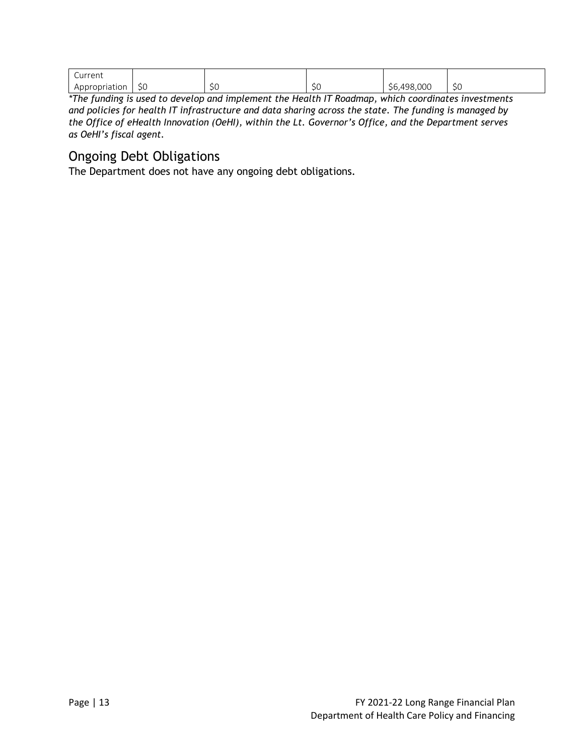| $\sim$<br>Current |                     |                           |                     |             |                   |
|-------------------|---------------------|---------------------------|---------------------|-------------|-------------------|
| Appropriation     | $\sim$ $\sim$<br>эU | $\sim$ $\sim$<br>╰<br>JU. | $\sim$ $\sim$<br>5U | \$6,498,000 | <b>. .</b><br>ب ب |

*\*The funding is used to develop and implement the Health IT Roadmap, which coordinates investments and policies for health IT infrastructure and data sharing across the state. The funding is managed by the Office of eHealth Innovation (OeHI), within the Lt. Governor's Office, and the Department serves as OeHI's fiscal agent.* 

## Ongoing Debt Obligations

The Department does not have any ongoing debt obligations.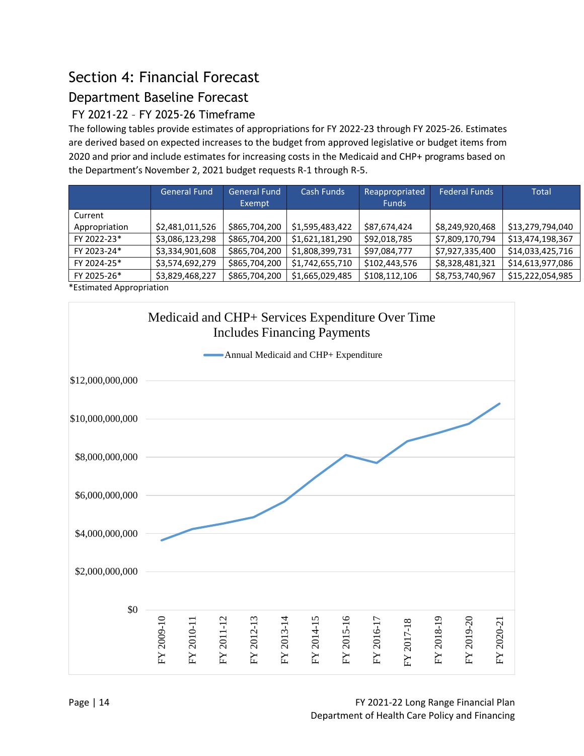# Section 4: Financial Forecast

## Department Baseline Forecast

## FY 2021-22 – FY 2025-26 Timeframe

The following tables provide estimates of appropriations for FY 2022-23 through FY 2025-26. Estimates are derived based on expected increases to the budget from approved legislative or budget items from 2020 and prior and include estimates for increasing costs in the Medicaid and CHP+ programs based on the Department's November 2, 2021 budget requests R-1 through R-5.

|               | <b>General Fund</b> | <b>General Fund</b><br>Exempt | Cash Funds      | Reappropriated<br><b>Funds</b> | Federal Funds   | Total            |
|---------------|---------------------|-------------------------------|-----------------|--------------------------------|-----------------|------------------|
| Current       |                     |                               |                 |                                |                 |                  |
| Appropriation | \$2,481,011,526     | \$865,704,200                 | \$1,595,483,422 | \$87,674,424                   | \$8,249,920,468 | \$13,279,794,040 |
| FY 2022-23*   | \$3,086,123,298     | \$865,704,200                 | \$1,621,181,290 | \$92,018,785                   | \$7,809,170,794 | \$13,474,198,367 |
| FY 2023-24*   | \$3,334,901,608     | \$865,704,200                 | \$1,808,399,731 | \$97,084,777                   | \$7,927,335,400 | \$14,033,425,716 |
| FY 2024-25*   | \$3,574,692,279     | \$865,704,200                 | \$1,742,655,710 | \$102,443,576                  | \$8,328,481,321 | \$14,613,977,086 |
| FY 2025-26*   | \$3,829,468,227     | \$865,704,200                 | \$1,665,029,485 | \$108,112,106                  | \$8,753,740,967 | \$15,222,054,985 |

\*Estimated Appropriation

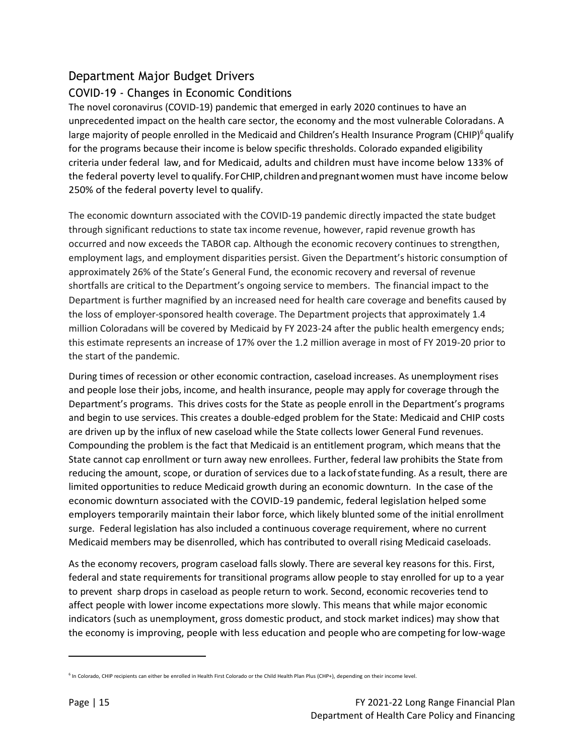## Department Major Budget Drivers

#### COVID-19 - Changes in Economic Conditions

The novel coronavirus (COVID-19) pandemic that emerged in early 2020 continues to have an unprecedented impact on the health care sector, the economy and the most vulnerable Coloradans. A large majority of people enrolled in the Medicaid and Children's Health Insurance Program (CHIP)<sup>6</sup> qualify for the programs because their income is below specific thresholds. Colorado expanded eligibility criteria under federal law, and for Medicaid, adults and children must have income below 133% of the federal poverty level toqualify.ForCHIP,childrenandpregnantwomen must have income below 250% of the federal poverty level to qualify.

The economic downturn associated with the COVID-19 pandemic directly impacted the state budget through significant reductions to state tax income revenue, however, rapid revenue growth has occurred and now exceeds the TABOR cap. Although the economic recovery continues to strengthen, employment lags, and employment disparities persist. Given the Department's historic consumption of approximately 26% of the State's General Fund, the economic recovery and reversal of revenue shortfalls are critical to the Department's ongoing service to members. The financial impact to the Department is further magnified by an increased need for health care coverage and benefits caused by the loss of employer-sponsored health coverage. The Department projects that approximately 1.4 million Coloradans will be covered by Medicaid by FY 2023-24 after the public health emergency ends; this estimate represents an increase of 17% over the 1.2 million average in most of FY 2019-20 prior to the start of the pandemic.

During times of recession or other economic contraction, caseload increases. As unemployment rises and people lose their jobs, income, and health insurance, people may apply for coverage through the Department's programs. This drives costs for the State as people enroll in the Department's programs and begin to use services. This creates a double-edged problem for the State: Medicaid and CHIP costs are driven up by the influx of new caseload while the State collects lower General Fund revenues. Compounding the problem is the fact that Medicaid is an entitlement program, which means that the State cannot cap enrollment or turn away new enrollees. Further, federal law prohibits the State from reducing the amount, scope, or duration of services due to a lackofstatefunding. As a result, there are limited opportunities to reduce Medicaid growth during an economic downturn. In the case of the economic downturn associated with the COVID-19 pandemic, federal legislation helped some employers temporarily maintain their labor force, which likely blunted some of the initial enrollment surge. Federal legislation has also included a continuous coverage requirement, where no current Medicaid members may be disenrolled, which has contributed to overall rising Medicaid caseloads.

As the economy recovers, program caseload falls slowly. There are several key reasons for this. First, federal and state requirements for transitional programs allow people to stay enrolled for up to a year to prevent sharp drops in caseload as people return to work. Second, economic recoveries tend to affect people with lower income expectations more slowly. This means that while major economic indicators (such as unemployment, gross domestic product, and stock market indices) may show that the economy is improving, people with less education and people who are competing forlow-wage

<sup>&</sup>lt;sup>6</sup> In Colorado, CHIP recipients can either be enrolled in Health First Colorado or the Child Health Plan Plus (CHP+), depending on their income level.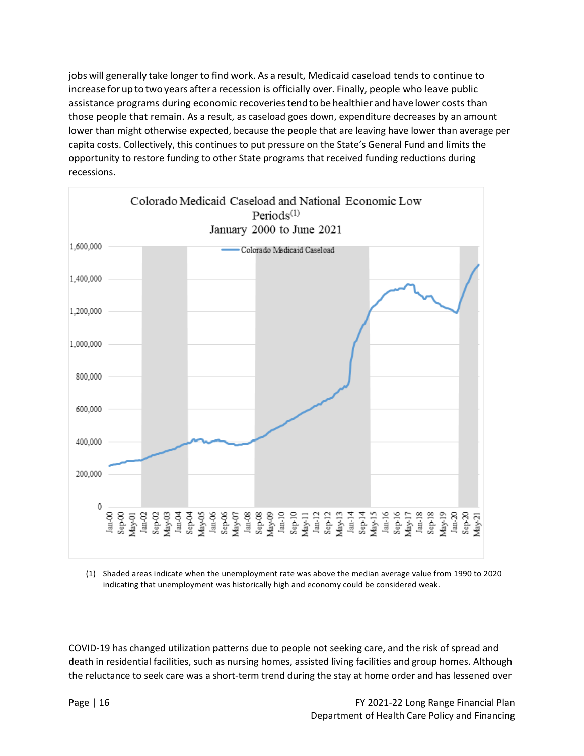jobs will generally take longer to find work. As a result, Medicaid caseload tends to continue to increase for up to two years after a recession is officially over. Finally, people who leave public assistance programs during economic recoveries tend to be healthier and have lower costs than those people that remain. As a result, as caseload goes down, expenditure decreases by an amount lower than might otherwise expected, because the people that are leaving have lower than average per capita costs. Collectively, this continues to put pressure on the State's General Fund and limits the opportunity to restore funding to other State programs that received funding reductions during recessions.



(1) Shaded areas indicate when the unemployment rate was above the median average value from 1990 to 2020 indicating that unemployment was historically high and economy could be considered weak.

COVID-19 has changed utilization patterns due to people not seeking care, and the risk of spread and death in residential facilities, such as nursing homes, assisted living facilities and group homes. Although the reluctance to seek care was a short-term trend during the stay at home order and has lessened over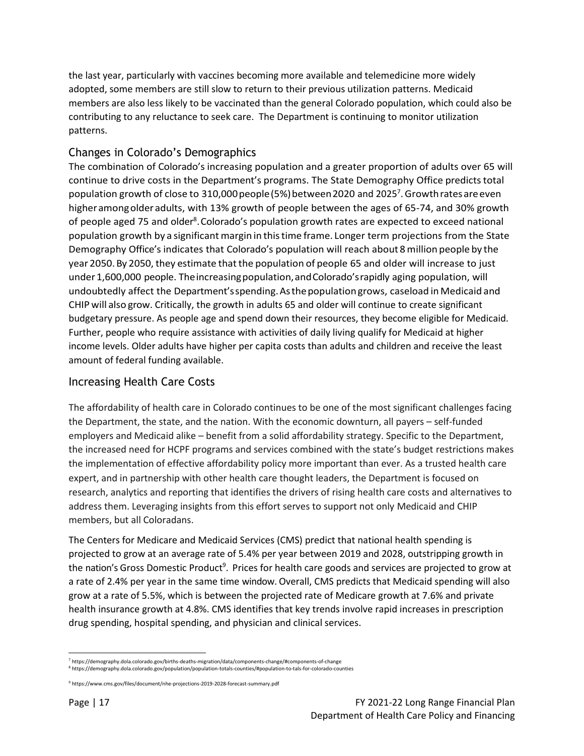the last year, particularly with vaccines becoming more available and telemedicine more widely adopted, some members are still slow to return to their previous utilization patterns. Medicaid members are also less likely to be vaccinated than the general Colorado population, which could also be contributing to any reluctance to seek care. The Department is continuing to monitor utilization patterns.

#### Changes in Colorado's Demographics

The combination of Colorado's increasing population and a greater proportion of adults over 65 will continue to drive costs in the Department's programs. The State Demography Office predictstotal population growth of close to 310,000 people (5%) between 2020 and 2025<sup>7</sup>. Growth rates are even higheramongolderadults, with 13% growth of people between the ages of 65-74, and 30% growth of people aged 75 and older<sup>8</sup>. Colorado's population growth rates are expected to exceed national population growth by a significant margin in this time frame. Longer term projections from the State Demography Office's indicates that Colorado's population will reach about 8million people by the year 2050.By 2050, they estimate thatthe population of people 65 and older will increase to just under1,600,000 people. Theincreasingpopulation,andColorado'srapidly aging population, will undoubtedly affect the Department'sspending.Asthepopulationgrows, caseload in Medicaid and CHIP will also grow. Critically, the growth in adults 65 and older will continue to create significant budgetary pressure. As people age and spend down their resources, they become eligible for Medicaid. Further, people who require assistance with activities of daily living qualify for Medicaid at higher income levels. Older adults have higher per capita costs than adults and children and receive the least amount of federal funding available.

#### Increasing Health Care Costs

The affordability of health care in Colorado continues to be one of the most significant challenges facing the Department, the state, and the nation. With the economic downturn, all payers – self-funded employers and Medicaid alike – benefit from a solid affordability strategy. Specific to the Department, the increased need for HCPF programs and services combined with the state's budget restrictions makes the implementation of effective affordability policy more important than ever. As a trusted health care expert, and in partnership with other health care thought leaders, the Department is focused on research, analytics and reporting that identifies the drivers of rising health care costs and alternatives to address them. Leveraging insights from this effort serves to support not only Medicaid and CHIP members, but all Coloradans.

The Centers for Medicare and Medicaid Services (CMS) predict that national health spending is projected to grow at an average rate of 5.4% per year between 2019 and 2028, outstripping growth in the nation's Gross Domestic Product<sup>9</sup>. Prices for health care goods and services are projected to grow at a rate of 2.4% per year in the same time window. Overall, CMS predicts that Medicaid spending will also grow at a rate of 5.5%, which is between the projected rate of Medicare growth at 7.6% and private health insurance growth at 4.8%. CMS identifies that key trends involve rapid increases in prescription drug spending, hospital spending, and physician and clinical services.

<sup>7</sup> https://demography.dola.colorado.gov/births-deaths-migration/data/components-change/#components-of-change 8 https://demography.dola.colorado.gov/population/population-totals-counties/#population-to-tals-for-colorado-counties

<sup>&</sup>lt;sup>9</sup> https://www.cms.gov/files/document/nhe-projections-2019-2028-forecast-summary.pdf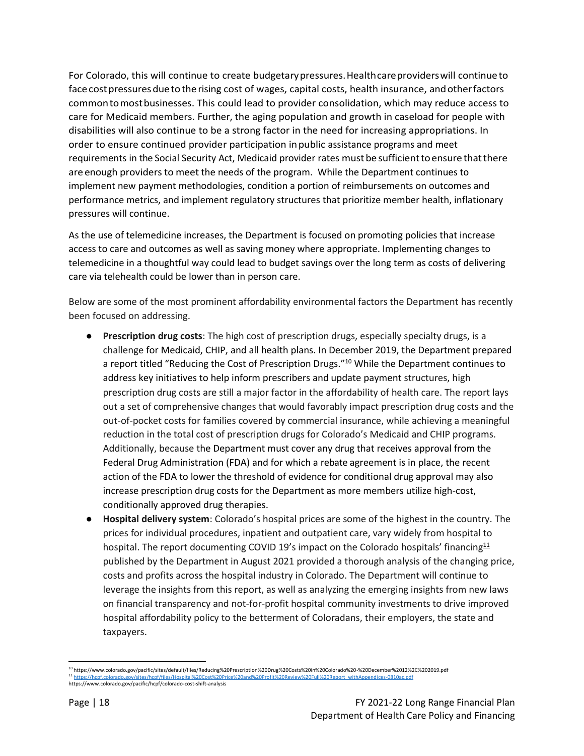For Colorado, this will continue to create budgetarypressures.Healthcareproviderswill continueto face cost pressures due to the rising cost of wages, capital costs, health insurance, and other factors commontomostbusinesses. This could lead to provider consolidation, which may reduce access to care for Medicaid members. Further, the aging population and growth in caseload for people with disabilities will also continue to be a strong factor in the need for increasing appropriations. In order to ensure continued provider participation inpublic assistance programs and meet requirements in the Social Security Act, Medicaid provider rates mustbe sufficienttoensure thatthere are enough providers to meet the needs of the program. While the Department continues to implement new payment methodologies, condition a portion of reimbursements on outcomes and performance metrics, and implement regulatory structures that prioritize member health, inflationary pressures will continue.

As the use of telemedicine increases, the Department is focused on promoting policies that increase access to care and outcomes as well as saving money where appropriate. Implementing changes to telemedicine in a thoughtful way could lead to budget savings over the long term as costs of delivering care via telehealth could be lower than in person care.

Below are some of the most prominent affordability environmental factors the Department has recently been focused on addressing.

- **Prescription drug costs**: The high cost of prescription drugs, especially specialty drugs, is a challenge for Medicaid, CHIP, and all health plans. In December 2019, the Department prepared a report titled "Reducing the Cost of Prescription Drugs."<sup>10</sup> While the Department continues to address key initiatives to help inform prescribers and update payment structures, high prescription drug costs are still a major factor in the affordability of health care. The report lays out a set of comprehensive changes that would favorably impact prescription drug costs and the out-of-pocket costs for families covered by commercial insurance, while achieving a meaningful reduction in the total cost of prescription drugs for Colorado's Medicaid and CHIP programs. Additionally, because the Department must cover any drug that receives approval from the Federal Drug Administration (FDA) and for which a rebate agreement is in place, the recent action of the FDA to lower the threshold of evidence for conditional drug approval may also increase prescription drug costs for the Department as more members utilize high-cost, conditionally approved drug therapies.
- **Hospital delivery system**: Colorado's hospital prices are some of the highest in the country. The prices for individual procedures, inpatient and outpatient care, vary widely from hospital to hospital. The report documenting COVID 19's impact on the Colorado hospitals' financing<sup>11</sup> published by the Department in August 2021 provided a thorough analysis of the changing price, costs and profits across the hospital industry in Colorado. The Department will continue to leverage the insights from this report, as well as analyzing the emerging insights from new laws on financial transparency and not-for-profit hospital community investments to drive improved hospital affordability policy to the betterment of Coloradans, their employers, the state and taxpayers.

<sup>10</sup> https://www.colorado.gov/pacific/sites/default/files/Reducing%20Prescription%20Drug%20Costs%20in%20Colorado%20-%20December%2012%2C%202019.pdf <sup>11</sup> [https://hcpf.colorado.gov/sites/hcpf/files/Hospital%20Cost%20Price%20and%20Profit%20Review%20Full%20Report\\_withAppendices-0810ac.pdf](https://hcpf.colorado.gov/sites/hcpf/files/Hospital%20Cost%20Price%20and%20Profit%20Review%20Full%20Report_withAppendices-0810ac.pdf) https://www.colorado.gov/pacific/hcpf/colorado-cost-shift-analysis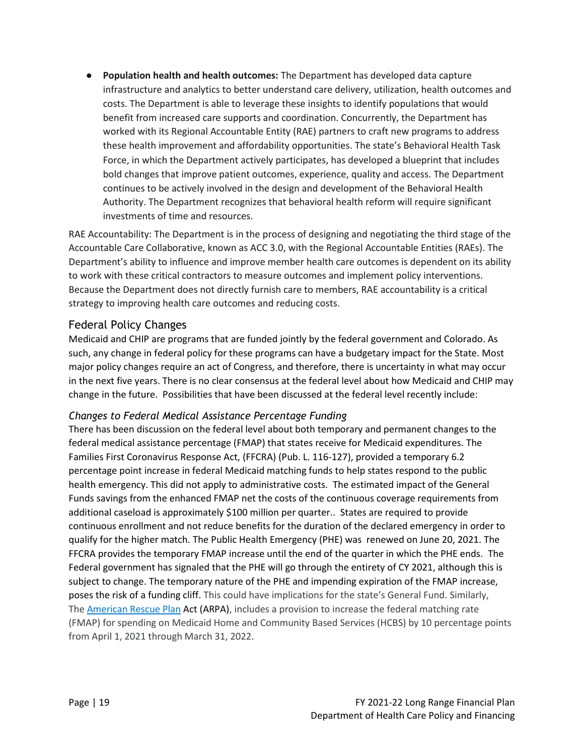● **Population health and health outcomes:** The Department has developed data capture infrastructure and analytics to better understand care delivery, utilization, health outcomes and costs. The Department is able to leverage these insights to identify populations that would benefit from increased care supports and coordination. Concurrently, the Department has worked with its Regional Accountable Entity (RAE) partners to craft new programs to address these health improvement and affordability opportunities. The state's Behavioral Health Task Force, in which the Department actively participates, has developed a blueprint that includes bold changes that improve patient outcomes, experience, quality and access. The Department continues to be actively involved in the design and development of the Behavioral Health Authority. The Department recognizes that behavioral health reform will require significant investments of time and resources.

RAE Accountability: The Department is in the process of designing and negotiating the third stage of the Accountable Care Collaborative, known as ACC 3.0, with the Regional Accountable Entities (RAEs). The Department's ability to influence and improve member health care outcomes is dependent on its ability to work with these critical contractors to measure outcomes and implement policy interventions. Because the Department does not directly furnish care to members, RAE accountability is a critical strategy to improving health care outcomes and reducing costs.

#### Federal Policy Changes

Medicaid and CHIP are programs that are funded jointly by the federal government and Colorado. As such, any change in federal policy for these programs can have a budgetary impact for the State. Most major policy changes require an act of Congress, and therefore, there is uncertainty in what may occur in the next five years. There is no clear consensus at the federal level about how Medicaid and CHIP may change in the future. Possibilities that have been discussed at the federal level recently include:

#### *Changes to Federal Medical Assistance Percentage Funding*

There has been discussion on the federal level about both temporary and permanent changes to the federal medical assistance percentage (FMAP) that states receive for Medicaid expenditures. The Families First Coronavirus Response Act, (FFCRA) (Pub. L. 116-127), provided a temporary 6.2 percentage point increase in federal Medicaid matching funds to help states respond to the public health emergency. This did not apply to administrative costs. The estimated impact of the General Funds savings from the enhanced FMAP net the costs of the continuous coverage requirements from additional caseload is approximately \$100 million per quarter.. States are required to provide continuous enrollment and not reduce benefits for the duration of the declared emergency in order to qualify for the higher match. The Public Health Emergency (PHE) was renewed on June 20, 2021. The FFCRA provides the temporary FMAP increase until the end of the quarter in which the PHE ends. The Federal government has signaled that the PHE will go through the entirety of CY 2021, although this is subject to change. The temporary nature of the PHE and impending expiration of the FMAP increase, poses the risk of a funding cliff. This could have implications for the state's General Fund. Similarly, The [American](https://www.congress.gov/bill/117th-congress/house-bill/1319/text) Rescue Plan Act (ARPA), includes a provision to increase the federal matching rate (FMAP) for spending on Medicaid Home and Community Based Services (HCBS) by 10 percentage points from April 1, 2021 through March 31, 2022.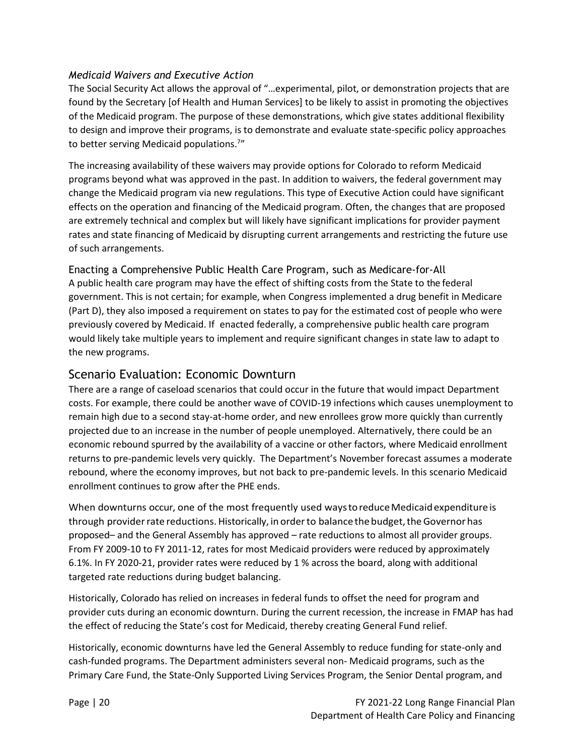#### *Medicaid Waivers and Executive Action*

The Social Security Act allows the approval of "…experimental, pilot, or demonstration projects that are found by the Secretary [of Health and Human Services] to be likely to assist in promoting the objectives of the Medicaid program. The purpose of these demonstrations, which give states additional flexibility to design and improve their programs, is to demonstrate and evaluate state-specific policy approaches to better serving Medicaid populations.<sup>7</sup>"

The increasing availability of these waivers may provide options for Colorado to reform Medicaid programs beyond what was approved in the past. In addition to waivers, the federal government may change the Medicaid program via new regulations. This type of Executive Action could have significant effects on the operation and financing of the Medicaid program. Often, the changes that are proposed are extremely technical and complex but will likely have significant implications for provider payment rates and state financing of Medicaid by disrupting current arrangements and restricting the future use of such arrangements.

Enacting a Comprehensive Public Health Care Program, such as Medicare-for-All A public health care program may have the effect of shifting costs from the State to the federal government. This is not certain; for example, when Congress implemented a drug benefit in Medicare (Part D), they also imposed a requirement on states to pay for the estimated cost of people who were previously covered by Medicaid. If enacted federally, a comprehensive public health care program would likely take multiple years to implement and require significant changes in state law to adapt to the new programs.

#### Scenario Evaluation: Economic Downturn

There are a range of caseload scenarios that could occur in the future that would impact Department costs. For example, there could be another wave of COVID-19 infections which causes unemployment to remain high due to a second stay-at-home order, and new enrollees grow more quickly than currently projected due to an increase in the number of people unemployed. Alternatively, there could be an economic rebound spurred by the availability of a vaccine or other factors, where Medicaid enrollment returns to pre-pandemic levels very quickly. The Department's November forecast assumes a moderate rebound, where the economy improves, but not back to pre-pandemic levels. In this scenario Medicaid enrollment continues to grow after the PHE ends.

When downturns occur, one of the most frequently used ways to reduce Medicaid expenditure is through provider rate reductions. Historically, in order to balance the budget, the Governor has proposed– and the General Assembly has approved – rate reductions to almost all provider groups. From FY 2009-10 to FY 2011-12, rates for most Medicaid providers were reduced by approximately 6.1%. In FY 2020-21, provider rates were reduced by 1 % across the board, along with additional targeted rate reductions during budget balancing.

Historically, Colorado has relied on increases in federal funds to offset the need for program and provider cuts during an economic downturn. During the current recession, the increase in FMAP has had the effect of reducing the State's cost for Medicaid, thereby creating General Fund relief.

Historically, economic downturns have led the General Assembly to reduce funding for state-only and cash-funded programs. The Department administers several non- Medicaid programs, such as the Primary Care Fund, the State-Only Supported Living Services Program, the Senior Dental program, and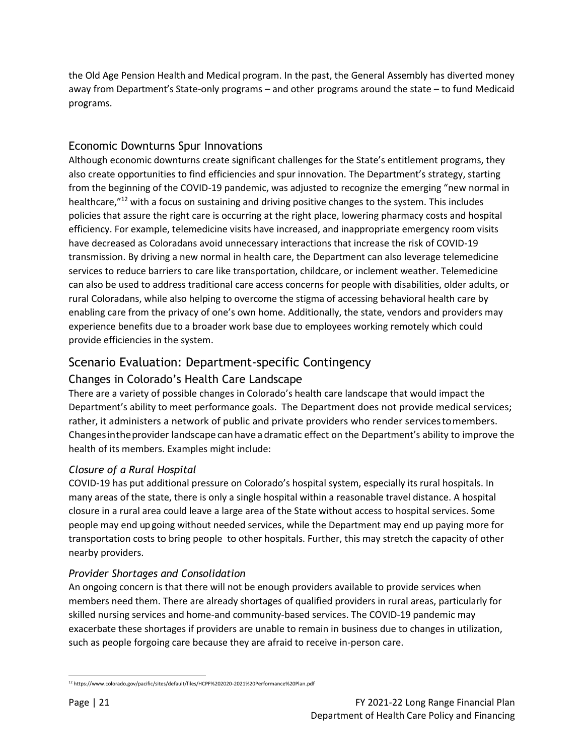the Old Age Pension Health and Medical program. In the past, the General Assembly has diverted money away from Department's State-only programs – and other programs around the state – to fund Medicaid programs.

#### Economic Downturns Spur Innovations

Although economic downturns create significant challenges for the State's entitlement programs, they also create opportunities to find efficiencies and spur innovation. The Department's strategy, starting from the beginning of the COVID-19 pandemic, was adjusted to recognize the emerging "new normal in healthcare,"<sup>12</sup> with a focus on sustaining and driving positive changes to the system. This includes policies that assure the right care is occurring at the right place, lowering pharmacy costs and hospital efficiency. For example, telemedicine visits have increased, and inappropriate emergency room visits have decreased as Coloradans avoid unnecessary interactions that increase the risk of COVID-19 transmission. By driving a new normal in health care, the Department can also leverage telemedicine services to reduce barriers to care like transportation, childcare, or inclement weather. Telemedicine can also be used to address traditional care access concerns for people with disabilities, older adults, or rural Coloradans, while also helping to overcome the stigma of accessing behavioral health care by enabling care from the privacy of one's own home. Additionally, the state, vendors and providers may experience benefits due to a broader work base due to employees working remotely which could provide efficiencies in the system.

## Scenario Evaluation: Department-specific Contingency

#### Changes in Colorado's Health Care Landscape

There are a variety of possible changes in Colorado's health care landscape that would impact the Department's ability to meet performance goals. The Department does not provide medical services; rather, it administers a network of public and private providers who render servicestomembers. Changesintheprovider landscape canhave adramatic effect on the Department's ability to improve the health of its members. Examples might include:

#### *Closure of a Rural Hospital*

COVID-19 has put additional pressure on Colorado's hospital system, especially its rural hospitals. In many areas of the state, there is only a single hospital within a reasonable travel distance. A hospital closure in a rural area could leave a large area of the State without access to hospital services. Some people may end up going without needed services, while the Department may end up paying more for transportation costs to bring people to other hospitals. Further, this may stretch the capacity of other nearby providers.

#### *Provider Shortages and Consolidation*

An ongoing concern is that there will not be enough providers available to provide services when members need them. There are already shortages of qualified providers in rural areas, particularly for skilled nursing services and home-and community-based services. The COVID-19 pandemic may exacerbate these shortages if providers are unable to remain in business due to changes in utilization, such as people forgoing care because they are afraid to receive in-person care.

<sup>12</sup> https://www.colorado.gov/pacific/sites/default/files/HCPF%202020-2021%20Performance%20Plan.pdf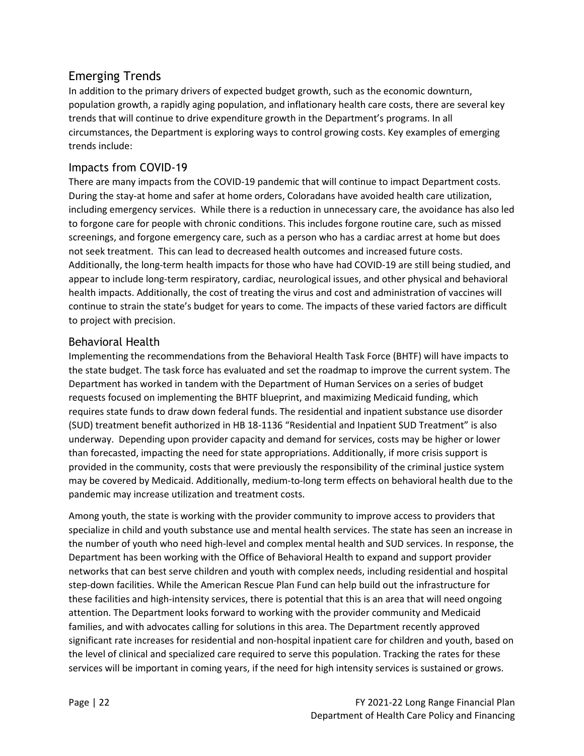#### Emerging Trends

In addition to the primary drivers of expected budget growth, such as the economic downturn, population growth, a rapidly aging population, and inflationary health care costs, there are several key trends that will continue to drive expenditure growth in the Department's programs. In all circumstances, the Department is exploring ways to control growing costs. Key examples of emerging trends include:

#### Impacts from COVID-19

There are many impacts from the COVID-19 pandemic that will continue to impact Department costs. During the stay-at home and safer at home orders, Coloradans have avoided health care utilization, including emergency services. While there is a reduction in unnecessary care, the avoidance has also led to forgone care for people with chronic conditions. This includes forgone routine care, such as missed screenings, and forgone emergency care, such as a person who has a cardiac arrest at home but does not seek treatment. This can lead to decreased health outcomes and increased future costs. Additionally, the long-term health impacts for those who have had COVID-19 are still being studied, and appear to include long-term respiratory, cardiac, neurological issues, and other physical and behavioral health impacts. Additionally, the cost of treating the virus and cost and administration of vaccines will continue to strain the state's budget for years to come. The impacts of these varied factors are difficult to project with precision.

#### Behavioral Health

Implementing the recommendations from the Behavioral Health Task Force (BHTF) will have impacts to the state budget. The task force has evaluated and set the roadmap to improve the current system. The Department has worked in tandem with the Department of Human Services on a series of budget requests focused on implementing the BHTF blueprint, and maximizing Medicaid funding, which requires state funds to draw down federal funds. The residential and inpatient substance use disorder (SUD) treatment benefit authorized in HB 18-1136 "Residential and Inpatient SUD Treatment" is also underway. Depending upon provider capacity and demand for services, costs may be higher or lower than forecasted, impacting the need for state appropriations. Additionally, if more crisis support is provided in the community, costs that were previously the responsibility of the criminal justice system may be covered by Medicaid. Additionally, medium-to-long term effects on behavioral health due to the pandemic may increase utilization and treatment costs.

Among youth, the state is working with the provider community to improve access to providers that specialize in child and youth substance use and mental health services. The state has seen an increase in the number of youth who need high-level and complex mental health and SUD services. In response, the Department has been working with the Office of Behavioral Health to expand and support provider networks that can best serve children and youth with complex needs, including residential and hospital step-down facilities. While the American Rescue Plan Fund can help build out the infrastructure for these facilities and high-intensity services, there is potential that this is an area that will need ongoing attention. The Department looks forward to working with the provider community and Medicaid families, and with advocates calling for solutions in this area. The Department recently approved significant rate increases for residential and non-hospital inpatient care for children and youth, based on the level of clinical and specialized care required to serve this population. Tracking the rates for these services will be important in coming years, if the need for high intensity services is sustained or grows.